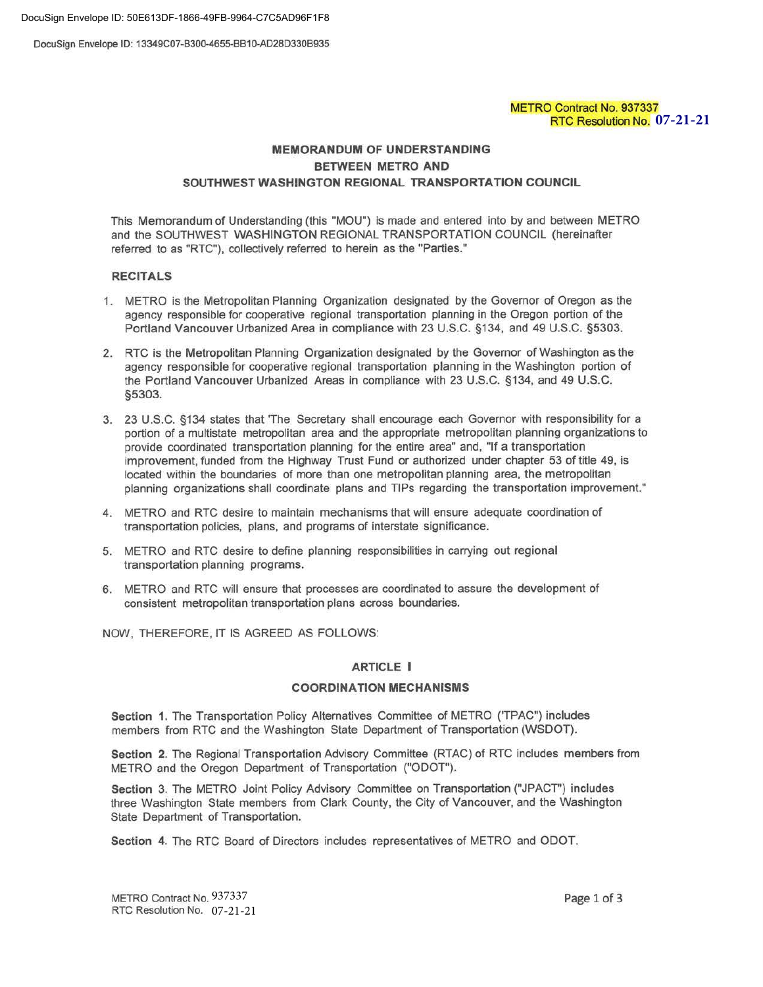DocuSign Envelope ID: 50E613DF-1866-49FB-9964-C7C5AD96F1F8

DocuSign Envelope ID: 13349C07-B300-4655-BB10-AD280330B935

# METRO Contract No. 937337 RTC Resolution No. **07-21-21**

# MEMORANDUM OF UNDERSTANDING BETWEEN METRO AND SOUTHWEST WASHINGTON REGIONAL TRANSPORTATION COUNCIL

This Memorandum of Understanding (this "MOU") Is made and entered into by and between METRO and the SOUTHWEST WASHINGTON REGIONAL TRANSPORTATION COUNCIL (hereinafter referred to as "RTC"). collectively referred to herein as the "Parties."

### RECITALS

- 1. METRO is the Metropolitan Planning Organization designated by the Governor of Oregon as the agency responsible for cooperative regional transportation planning in the Oregon portion of the Portland Vancouver Urbanized Area in compliance with 23 U.S.C. §134, and 49 U.S.C. §5303.
- 2. RTC is the Metropolitan Planning Organization designated by the Governor of Washington as the agency responsible for cooperative regional transportation planning in the Washington portion of the Portland Vancouver Urbanized Areas in compliance with 23 U.S.C. §134, and 49 U.S.C. §5303.
- 3. 23 U.S.C. §134 states that 'The Secretary shall encourage each Governor with responsibility for a portion of a multistate metropolitan area and the appropriate metropolitan planning organizations to provide coordinated transportation planning for the entire area" and, "If a transportation improvement, funded from the Highway Trust Fund or authorized under chapter 53 of title 49, is located within the boundaries of more than one metropolitan planning area, the metropolitan planning organizations shall coordinate plans and TIPs regarding the transportation improvement."
- 4. METRO and RTC desire to maintain mechanisms that will ensure adequate coordination of transportation policies, plans, and programs of interstate significance.
- 5. METRO and RTC desire to define planning responsibilities in carrying out regional transportation planning programs.
- 6. METRO and RTC will ensure that processes are coordinated to assure the development of consistent metropolitan transportation plans across boundaries.

NOW, THEREFORE, IT IS AGREED AS FOLLOWS:

## ARTICLE I

### COORDINATION MECHANISMS

Section 1. The Transportation Policy Alternatives Committee of METRO ('TPAC") includes members from RTC and the Washington State Department of Transportation (WSDOT).

Section 2. The Regional Transportation Advisory Committee (RTAC) of RTC includes members from METRO and the Oregon Department of Transportation ("ODOT").

Section 3. The METRO Joint Policy Advisory Committee on Transportation ("JPACT") includes three Washington State members from Clark County, the City of Vancouver, and the Washington State Department of Transportation.

Section 4. The RTC Board of Directors includes representatives of METRO and ODOT.

METRO Contract No. 937337 RTC Resolution No. 07-21-21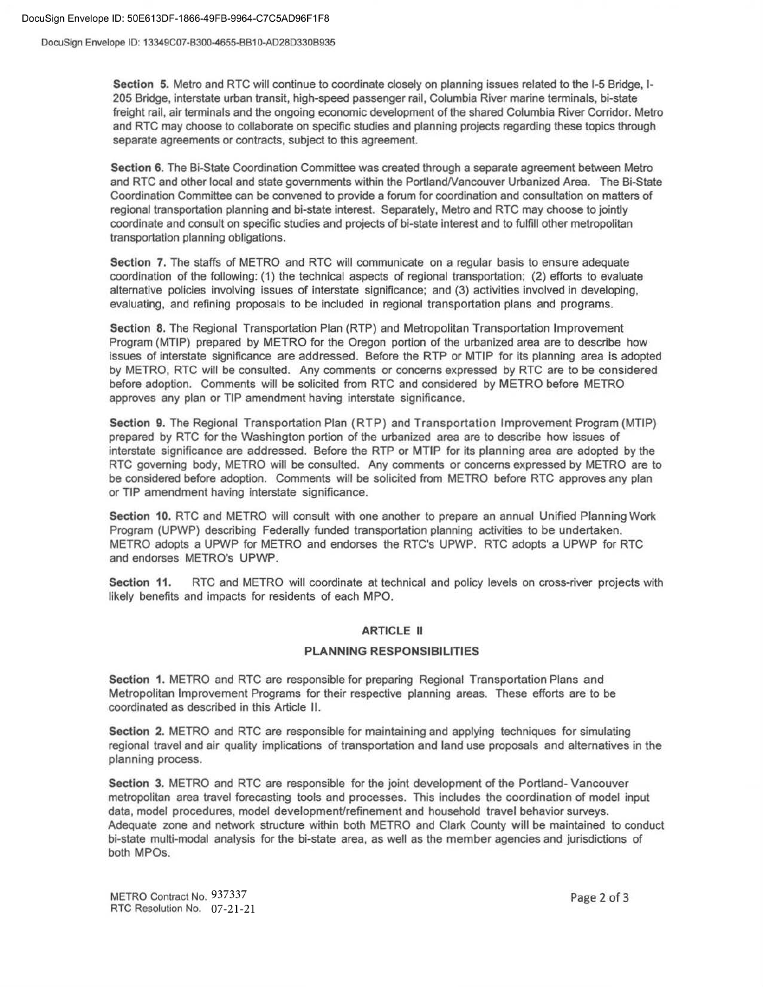#### DocuSign Envelope ID: 50E613DF-1866-49FB-9964-C7C5AD96F1F8

DocuSign Envelope ID: 13349C07-B300-4655-BB10-AD28D330B935

Section 5. Metro and RTC will continue to coordinate closely on planning issues related to the 1-5 Bridge, 1- 205 Bridge, interstate urban transit, high-speed passenger rail, Columbia River marine terminals, bi-state freight rail, air terminals and the ongoing economic development of the shared Columbia River Corridor. Metro and RTC may choose to collaborate on specific studies and planning projects regarding these topics through separate agreements or contracts, subject to this agreement.

Section 6. The Bi-State Coordination Committee was created through a separate agreement between Metro and RTC and other local and state governments within the Portland/Vancouver Urbanized Area. The Bi-State Coordination Committee can be convened to provide a forum for coordination and consultation on matters of regional transportation planning and bi-state interest. Separately, Metro and RTC may choose to jointly coordinate and consult on specific studies and projects of bi-state interest and to fulfill other metropolitan transportation planning obligations.

Section 7. The staffs of METRO and RTC will communicate on a regular basis to ensure adequate coordination of the following: (1) the technical aspects of regional transportation; (2) efforts to evaluate alternative policies involving issues of interstate significance; and (3) activities involved in developing, evaluating, and refining proposals to be included in regional transportation plans and programs.

Section 8. The Regional Transportation Plan (RTP) and Metropolitan Transportation Improvement Program (MTIP) prepared by METRO for the Oregon portion of the urbanized area are to describe how issues of interstate significance are addressed. Before the RTP or MTIP for its planning area is adopted by METRO, RTC will be consulted. Any comments or concerns expressed by RTC are to be considered before adoption. Comments will be solicited from RTC and considered by METRO before METRO approves any plan or TIP amendment having interstate significance.

Section 9. The Regional Transportation Plan (RTP) and Transportation Improvement Program (MTIP) prepared by RTC for the Washington portion of the urbanized area are to describe how issues of interstate significance are addressed. Before the RTP or MTIP for its planning area are adopted by the RTC governing body, METRO will be consulted. Any comments or concerns expressed by METRO are to be considered before adoption. Comments will be solicited from METRO before RTC approves any plan or TIP amendment having interstate significance.

Section 10. RTC and METRO will consult with one another to prepare an annual Unified Planning Work Program (UPWP) describing Federally funded transportation planning activities to be undertaken. METRO adopts a UPWP for METRO and endorses the RTC's UPWP. RTC adopts a UPWP for RTC and endorses METRO's UPWP.

Section 11. RTC and METRO will coordinate at technical and policy levels on cross-river projects with likely benefits and impacts for residents of each MPO.

### ARTICLE II

#### PLANNING RESPONSIBILITIES

Section 1. METRO and RTC are responsible for preparing Regional Transportation Plans and Metropolitan Improvement Programs for their respective planning areas. These efforts are to be coordinated as described in this Article II.

Section 2. METRO and RTC are responsible for maintaining and applying techniques for simulating regional travel and air quality implications of transportation and land use proposals and alternatives in the planning process.

Section 3. METRO and RTC are responsible for the joint development of the Portland- Vancouver metropolitan area travel forecasting tools and processes. This includes the coordination of model input data, model procedures, model development/refinement and household travel behavior surveys. Adequate zone and network structure within both METRO and Clark County will be maintained to conduct bi-state multi-modal analysis for the bi-state area, as well as the member agencies and jurisdictions of both MPOs.

METRO Contract No. 937337 RTC Resolution No. 07-21-21